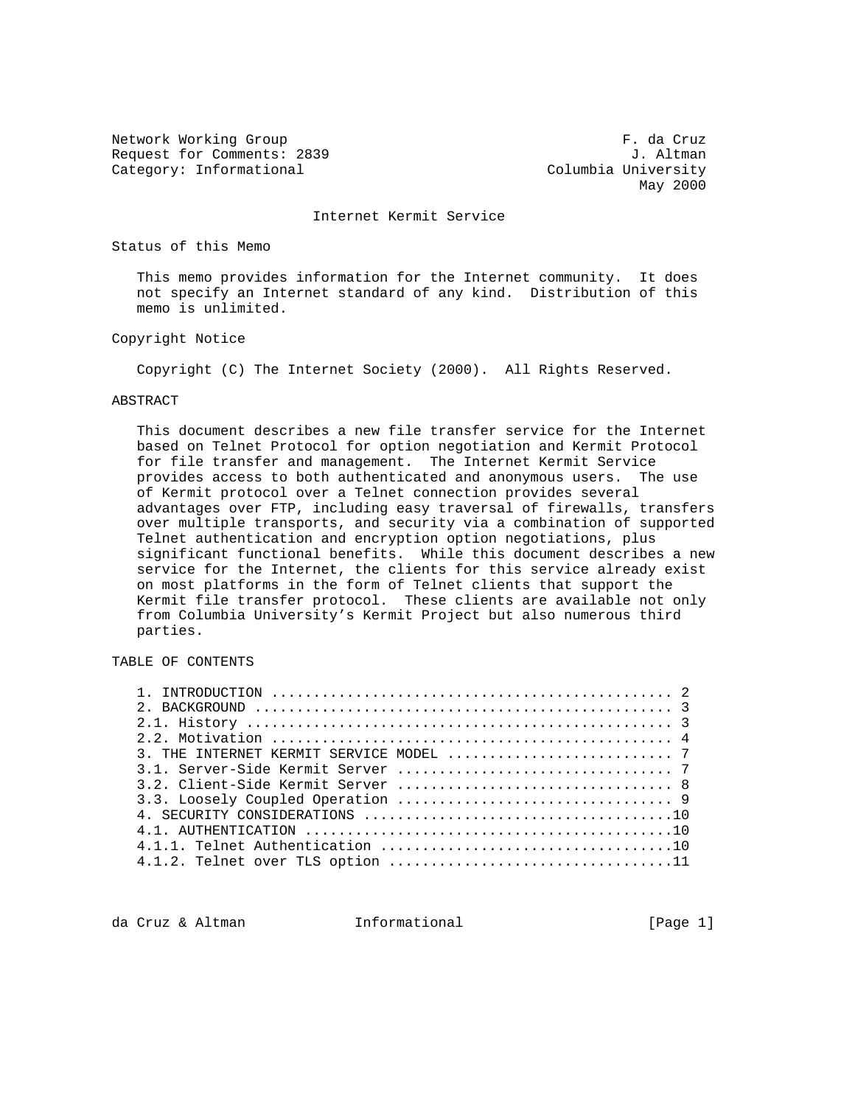Network Working Group **F. da Cruz** Request for Comments: 2839 J. Altman Category: Informational Columbia University

May 2000

Internet Kermit Service

## Status of this Memo

 This memo provides information for the Internet community. It does not specify an Internet standard of any kind. Distribution of this memo is unlimited.

## Copyright Notice

Copyright (C) The Internet Society (2000). All Rights Reserved.

## ABSTRACT

 This document describes a new file transfer service for the Internet based on Telnet Protocol for option negotiation and Kermit Protocol for file transfer and management. The Internet Kermit Service provides access to both authenticated and anonymous users. The use of Kermit protocol over a Telnet connection provides several advantages over FTP, including easy traversal of firewalls, transfers over multiple transports, and security via a combination of supported Telnet authentication and encryption option negotiations, plus significant functional benefits. While this document describes a new service for the Internet, the clients for this service already exist on most platforms in the form of Telnet clients that support the Kermit file transfer protocol. These clients are available not only from Columbia University's Kermit Project but also numerous third parties.

TABLE OF CONTENTS

da Cruz & Altman 1nformational (Page 1)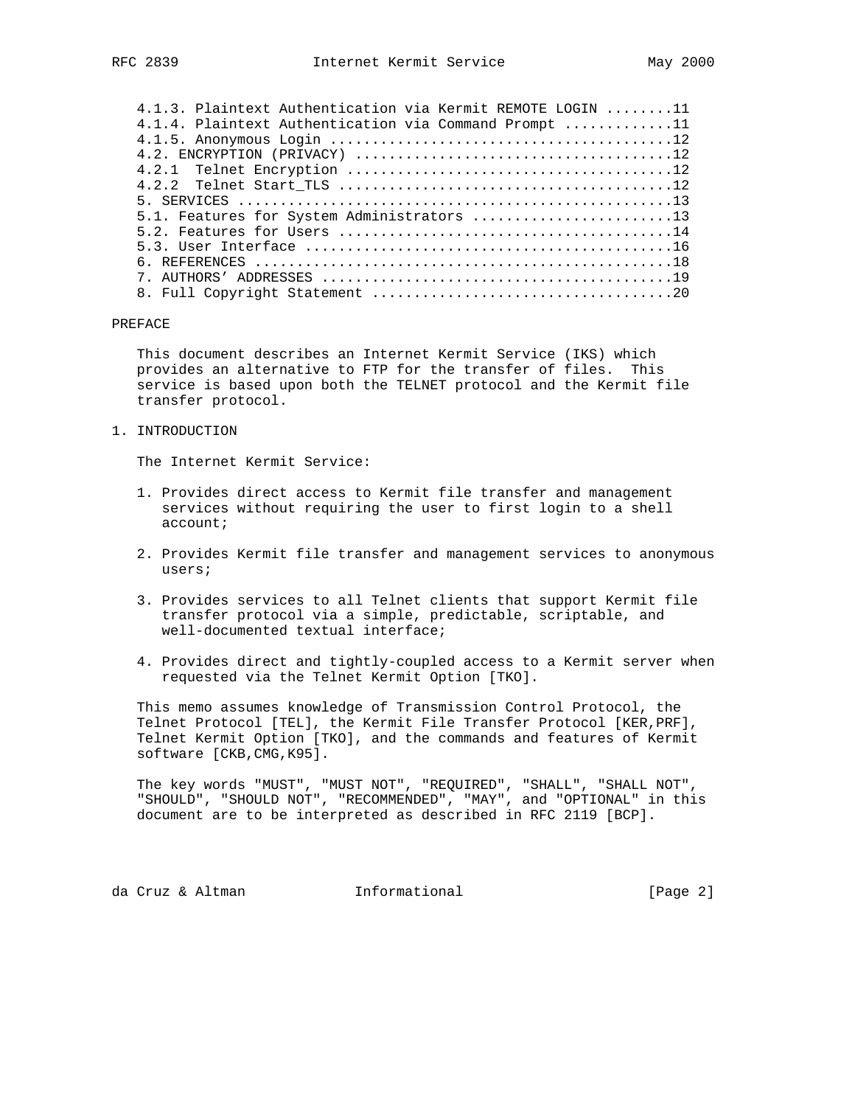| 4.1.3. Plaintext Authentication via Kermit REMOTE LOGIN 11 |  |
|------------------------------------------------------------|--|
| 4.1.4. Plaintext Authentication via Command Prompt 11      |  |
|                                                            |  |
|                                                            |  |
|                                                            |  |
|                                                            |  |
|                                                            |  |
| 5.1. Features for System Administrators 13                 |  |
|                                                            |  |
|                                                            |  |
|                                                            |  |
|                                                            |  |
|                                                            |  |

#### PREFACE

 This document describes an Internet Kermit Service (IKS) which provides an alternative to FTP for the transfer of files. This service is based upon both the TELNET protocol and the Kermit file transfer protocol.

1. INTRODUCTION

The Internet Kermit Service:

- 1. Provides direct access to Kermit file transfer and management services without requiring the user to first login to a shell account;
- 2. Provides Kermit file transfer and management services to anonymous users;
- 3. Provides services to all Telnet clients that support Kermit file transfer protocol via a simple, predictable, scriptable, and well-documented textual interface;
- 4. Provides direct and tightly-coupled access to a Kermit server when requested via the Telnet Kermit Option [TKO].

 This memo assumes knowledge of Transmission Control Protocol, the Telnet Protocol [TEL], the Kermit File Transfer Protocol [KER,PRF], Telnet Kermit Option [TKO], and the commands and features of Kermit software [CKB,CMG,K95].

 The key words "MUST", "MUST NOT", "REQUIRED", "SHALL", "SHALL NOT", "SHOULD", "SHOULD NOT", "RECOMMENDED", "MAY", and "OPTIONAL" in this document are to be interpreted as described in RFC 2119 [BCP].

da Cruz & Altman (Page 2)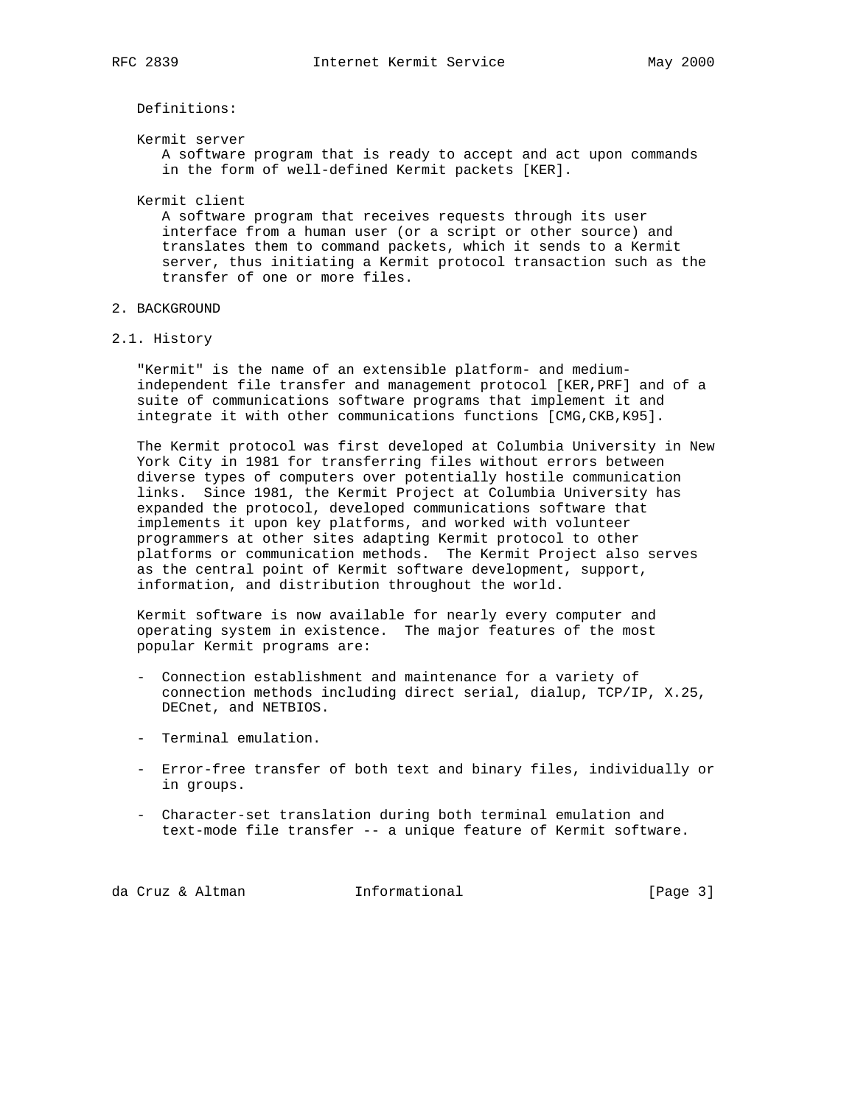Definitions:

Kermit server

 A software program that is ready to accept and act upon commands in the form of well-defined Kermit packets [KER].

Kermit client

 A software program that receives requests through its user interface from a human user (or a script or other source) and translates them to command packets, which it sends to a Kermit server, thus initiating a Kermit protocol transaction such as the transfer of one or more files.

# 2. BACKGROUND

2.1. History

 "Kermit" is the name of an extensible platform- and medium independent file transfer and management protocol [KER,PRF] and of a suite of communications software programs that implement it and integrate it with other communications functions [CMG,CKB,K95].

 The Kermit protocol was first developed at Columbia University in New York City in 1981 for transferring files without errors between diverse types of computers over potentially hostile communication links. Since 1981, the Kermit Project at Columbia University has expanded the protocol, developed communications software that implements it upon key platforms, and worked with volunteer programmers at other sites adapting Kermit protocol to other platforms or communication methods. The Kermit Project also serves as the central point of Kermit software development, support, information, and distribution throughout the world.

 Kermit software is now available for nearly every computer and operating system in existence. The major features of the most popular Kermit programs are:

- Connection establishment and maintenance for a variety of connection methods including direct serial, dialup, TCP/IP, X.25, DECnet, and NETBIOS.
- Terminal emulation.
- Error-free transfer of both text and binary files, individually or in groups.
- Character-set translation during both terminal emulation and text-mode file transfer -- a unique feature of Kermit software.

da Cruz & Altman **Informational** [Page 3]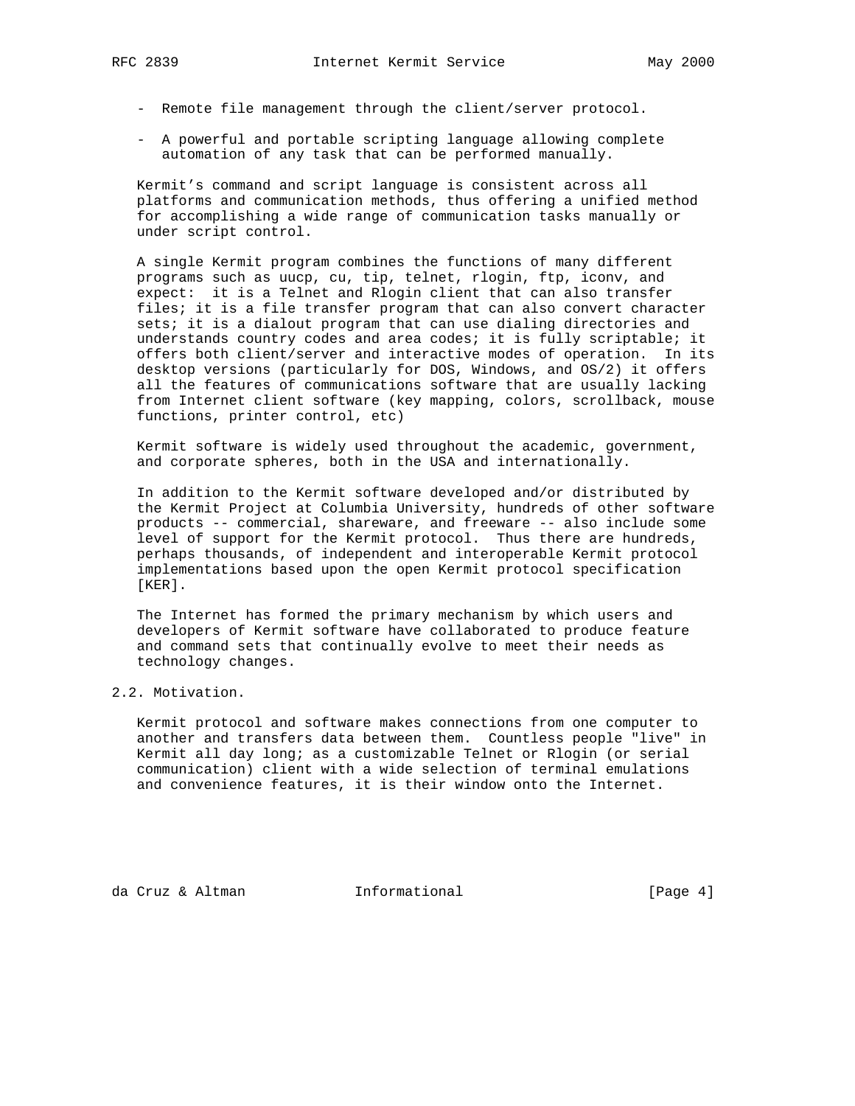- Remote file management through the client/server protocol.
- A powerful and portable scripting language allowing complete automation of any task that can be performed manually.

 Kermit's command and script language is consistent across all platforms and communication methods, thus offering a unified method for accomplishing a wide range of communication tasks manually or under script control.

 A single Kermit program combines the functions of many different programs such as uucp, cu, tip, telnet, rlogin, ftp, iconv, and expect: it is a Telnet and Rlogin client that can also transfer files; it is a file transfer program that can also convert character sets; it is a dialout program that can use dialing directories and understands country codes and area codes; it is fully scriptable; it offers both client/server and interactive modes of operation. In its desktop versions (particularly for DOS, Windows, and OS/2) it offers all the features of communications software that are usually lacking from Internet client software (key mapping, colors, scrollback, mouse functions, printer control, etc)

 Kermit software is widely used throughout the academic, government, and corporate spheres, both in the USA and internationally.

 In addition to the Kermit software developed and/or distributed by the Kermit Project at Columbia University, hundreds of other software products -- commercial, shareware, and freeware -- also include some level of support for the Kermit protocol. Thus there are hundreds, perhaps thousands, of independent and interoperable Kermit protocol implementations based upon the open Kermit protocol specification [KER].

 The Internet has formed the primary mechanism by which users and developers of Kermit software have collaborated to produce feature and command sets that continually evolve to meet their needs as technology changes.

2.2. Motivation.

 Kermit protocol and software makes connections from one computer to another and transfers data between them. Countless people "live" in Kermit all day long; as a customizable Telnet or Rlogin (or serial communication) client with a wide selection of terminal emulations and convenience features, it is their window onto the Internet.

da Cruz & Altman 1nformational (Page 4)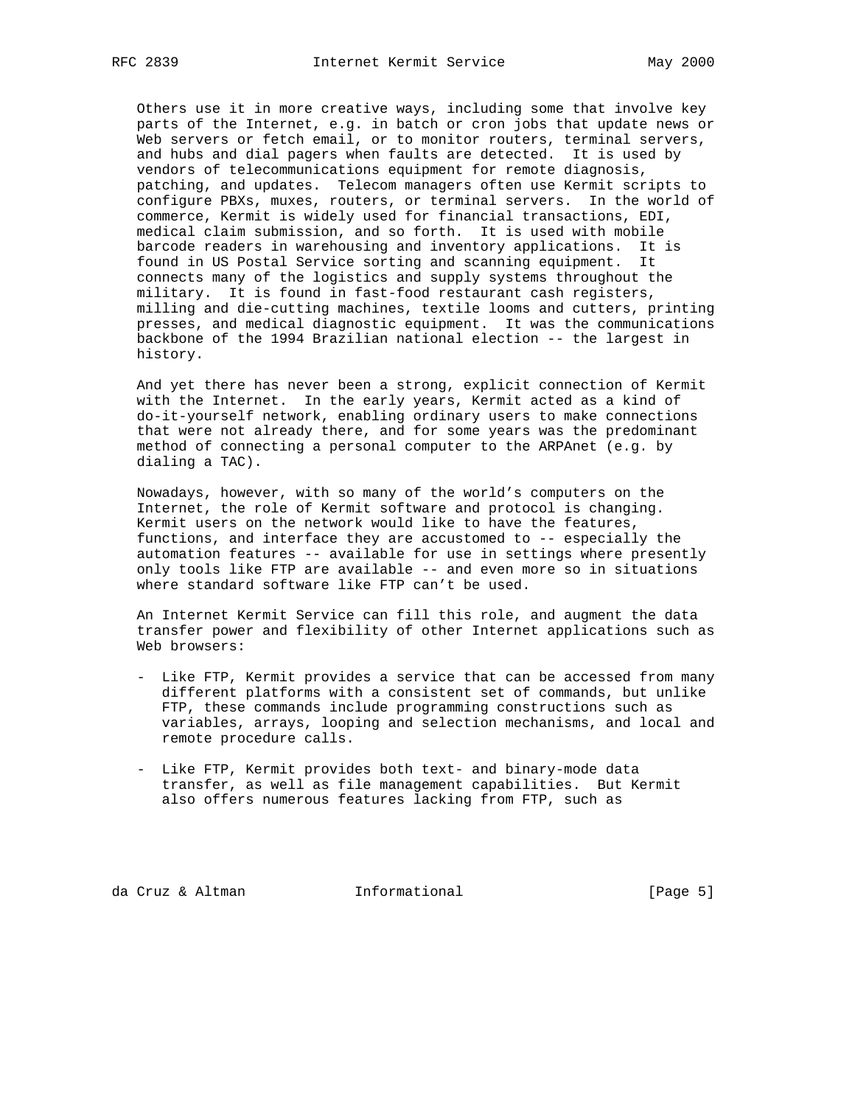Others use it in more creative ways, including some that involve key parts of the Internet, e.g. in batch or cron jobs that update news or web servers or fetch email, or to monitor routers, terminal servers, and hubs and dial pagers when faults are detected. It is used by vendors of telecommunications equipment for remote diagnosis, patching, and updates. Telecom managers often use Kermit scripts to configure PBXs, muxes, routers, or terminal servers. In the world of commerce, Kermit is widely used for financial transactions, EDI, medical claim submission, and so forth. It is used with mobile barcode readers in warehousing and inventory applications. It is found in US Postal Service sorting and scanning equipment. It connects many of the logistics and supply systems throughout the military. It is found in fast-food restaurant cash registers, milling and die-cutting machines, textile looms and cutters, printing presses, and medical diagnostic equipment. It was the communications backbone of the 1994 Brazilian national election -- the largest in history.

 And yet there has never been a strong, explicit connection of Kermit with the Internet. In the early years, Kermit acted as a kind of do-it-yourself network, enabling ordinary users to make connections that were not already there, and for some years was the predominant method of connecting a personal computer to the ARPAnet (e.g. by dialing a TAC).

 Nowadays, however, with so many of the world's computers on the Internet, the role of Kermit software and protocol is changing. Kermit users on the network would like to have the features, functions, and interface they are accustomed to -- especially the automation features -- available for use in settings where presently only tools like FTP are available -- and even more so in situations where standard software like FTP can't be used.

 An Internet Kermit Service can fill this role, and augment the data transfer power and flexibility of other Internet applications such as Web browsers:

- Like FTP, Kermit provides a service that can be accessed from many different platforms with a consistent set of commands, but unlike FTP, these commands include programming constructions such as variables, arrays, looping and selection mechanisms, and local and remote procedure calls.
- Like FTP, Kermit provides both text- and binary-mode data transfer, as well as file management capabilities. But Kermit also offers numerous features lacking from FTP, such as

da Cruz & Altman **Informational** (Page 5)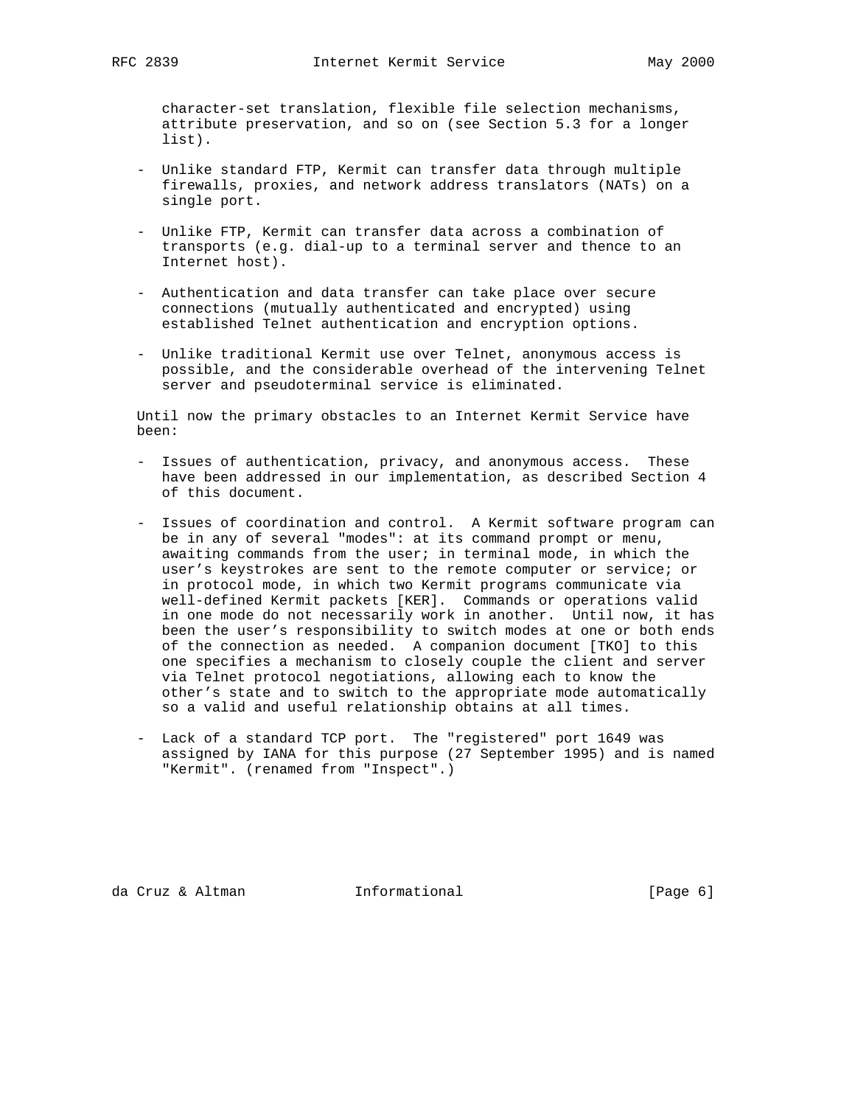character-set translation, flexible file selection mechanisms, attribute preservation, and so on (see Section 5.3 for a longer list).

- Unlike standard FTP, Kermit can transfer data through multiple firewalls, proxies, and network address translators (NATs) on a single port.
- Unlike FTP, Kermit can transfer data across a combination of transports (e.g. dial-up to a terminal server and thence to an Internet host).
- Authentication and data transfer can take place over secure connections (mutually authenticated and encrypted) using established Telnet authentication and encryption options.
- Unlike traditional Kermit use over Telnet, anonymous access is possible, and the considerable overhead of the intervening Telnet server and pseudoterminal service is eliminated.

 Until now the primary obstacles to an Internet Kermit Service have been:

- Issues of authentication, privacy, and anonymous access. These have been addressed in our implementation, as described Section 4 of this document.
- Issues of coordination and control. A Kermit software program can be in any of several "modes": at its command prompt or menu, awaiting commands from the user; in terminal mode, in which the user's keystrokes are sent to the remote computer or service; or in protocol mode, in which two Kermit programs communicate via well-defined Kermit packets [KER]. Commands or operations valid in one mode do not necessarily work in another. Until now, it has been the user's responsibility to switch modes at one or both ends of the connection as needed. A companion document [TKO] to this one specifies a mechanism to closely couple the client and server via Telnet protocol negotiations, allowing each to know the other's state and to switch to the appropriate mode automatically so a valid and useful relationship obtains at all times.
- Lack of a standard TCP port. The "registered" port 1649 was assigned by IANA for this purpose (27 September 1995) and is named "Kermit". (renamed from "Inspect".)

da Cruz & Altman **Informational** (Page 6)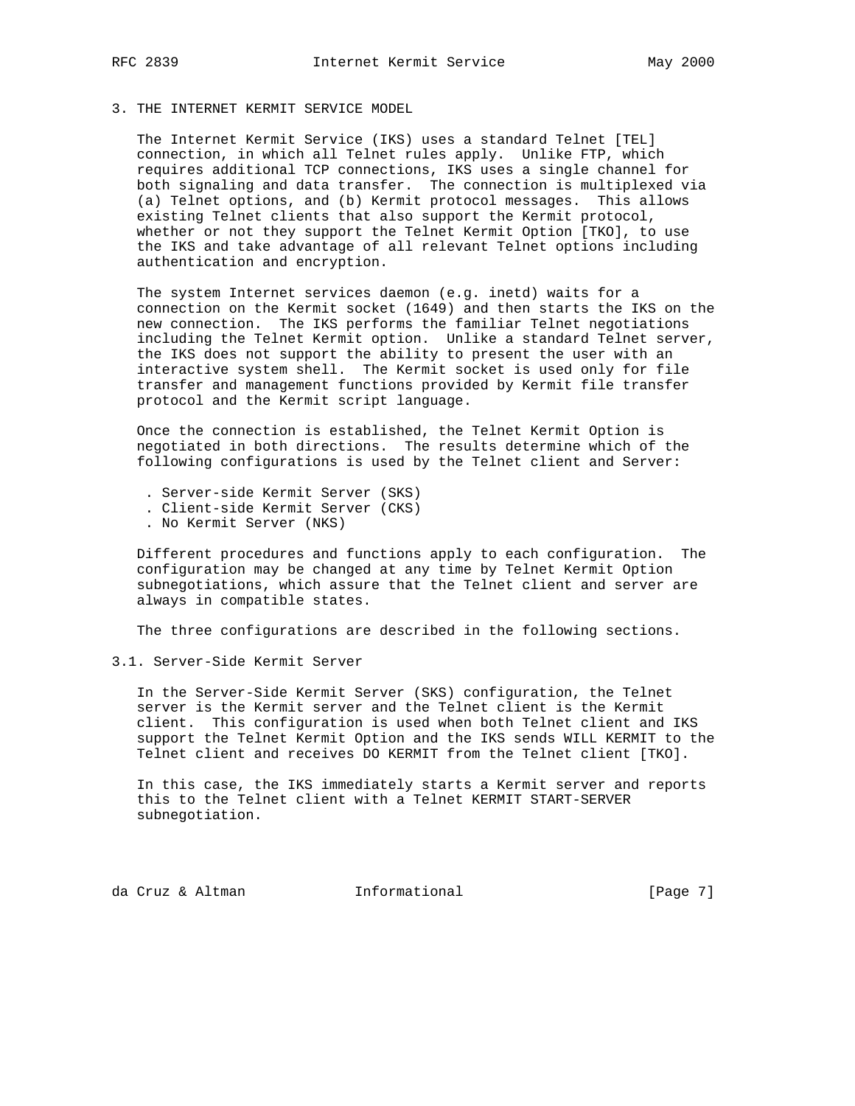# 3. THE INTERNET KERMIT SERVICE MODEL

 The Internet Kermit Service (IKS) uses a standard Telnet [TEL] connection, in which all Telnet rules apply. Unlike FTP, which requires additional TCP connections, IKS uses a single channel for both signaling and data transfer. The connection is multiplexed via (a) Telnet options, and (b) Kermit protocol messages. This allows existing Telnet clients that also support the Kermit protocol, whether or not they support the Telnet Kermit Option [TKO], to use the IKS and take advantage of all relevant Telnet options including authentication and encryption.

 The system Internet services daemon (e.g. inetd) waits for a connection on the Kermit socket (1649) and then starts the IKS on the new connection. The IKS performs the familiar Telnet negotiations including the Telnet Kermit option. Unlike a standard Telnet server, the IKS does not support the ability to present the user with an interactive system shell. The Kermit socket is used only for file transfer and management functions provided by Kermit file transfer protocol and the Kermit script language.

 Once the connection is established, the Telnet Kermit Option is negotiated in both directions. The results determine which of the following configurations is used by the Telnet client and Server:

- . Server-side Kermit Server (SKS)
- . Client-side Kermit Server (CKS)
- . No Kermit Server (NKS)

 Different procedures and functions apply to each configuration. The configuration may be changed at any time by Telnet Kermit Option subnegotiations, which assure that the Telnet client and server are always in compatible states.

The three configurations are described in the following sections.

3.1. Server-Side Kermit Server

 In the Server-Side Kermit Server (SKS) configuration, the Telnet server is the Kermit server and the Telnet client is the Kermit client. This configuration is used when both Telnet client and IKS support the Telnet Kermit Option and the IKS sends WILL KERMIT to the Telnet client and receives DO KERMIT from the Telnet client [TKO].

 In this case, the IKS immediately starts a Kermit server and reports this to the Telnet client with a Telnet KERMIT START-SERVER subnegotiation.

da Cruz & Altman **Informational** (Page 7)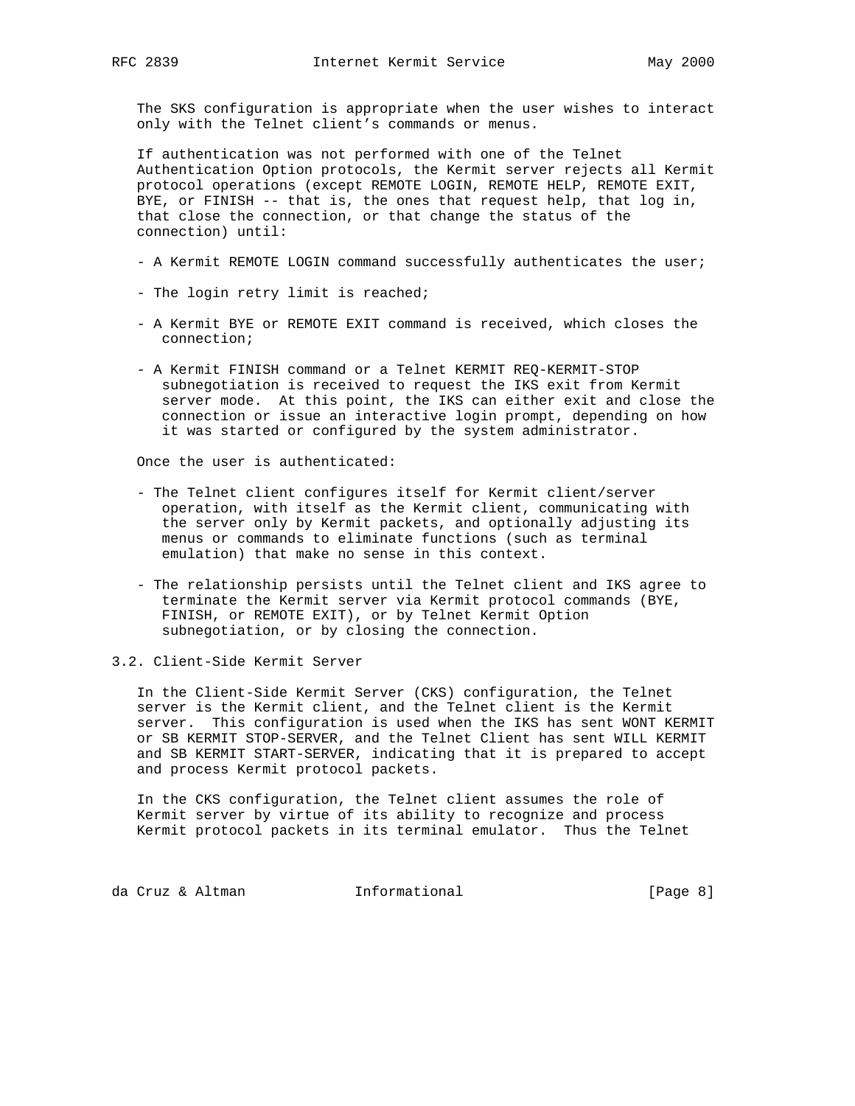The SKS configuration is appropriate when the user wishes to interact only with the Telnet client's commands or menus.

 If authentication was not performed with one of the Telnet Authentication Option protocols, the Kermit server rejects all Kermit protocol operations (except REMOTE LOGIN, REMOTE HELP, REMOTE EXIT, BYE, or FINISH -- that is, the ones that request help, that log in, that close the connection, or that change the status of the connection) until:

- A Kermit REMOTE LOGIN command successfully authenticates the user;
- The login retry limit is reached;
- A Kermit BYE or REMOTE EXIT command is received, which closes the connection;
- A Kermit FINISH command or a Telnet KERMIT REQ-KERMIT-STOP subnegotiation is received to request the IKS exit from Kermit server mode. At this point, the IKS can either exit and close the connection or issue an interactive login prompt, depending on how it was started or configured by the system administrator.

Once the user is authenticated:

- The Telnet client configures itself for Kermit client/server operation, with itself as the Kermit client, communicating with the server only by Kermit packets, and optionally adjusting its menus or commands to eliminate functions (such as terminal emulation) that make no sense in this context.
- The relationship persists until the Telnet client and IKS agree to terminate the Kermit server via Kermit protocol commands (BYE, FINISH, or REMOTE EXIT), or by Telnet Kermit Option subnegotiation, or by closing the connection.
- 3.2. Client-Side Kermit Server

 In the Client-Side Kermit Server (CKS) configuration, the Telnet server is the Kermit client, and the Telnet client is the Kermit server. This configuration is used when the IKS has sent WONT KERMIT or SB KERMIT STOP-SERVER, and the Telnet Client has sent WILL KERMIT and SB KERMIT START-SERVER, indicating that it is prepared to accept and process Kermit protocol packets.

 In the CKS configuration, the Telnet client assumes the role of Kermit server by virtue of its ability to recognize and process Kermit protocol packets in its terminal emulator. Thus the Telnet

da Cruz & Altman (1999) Informational (1999) [Page 8]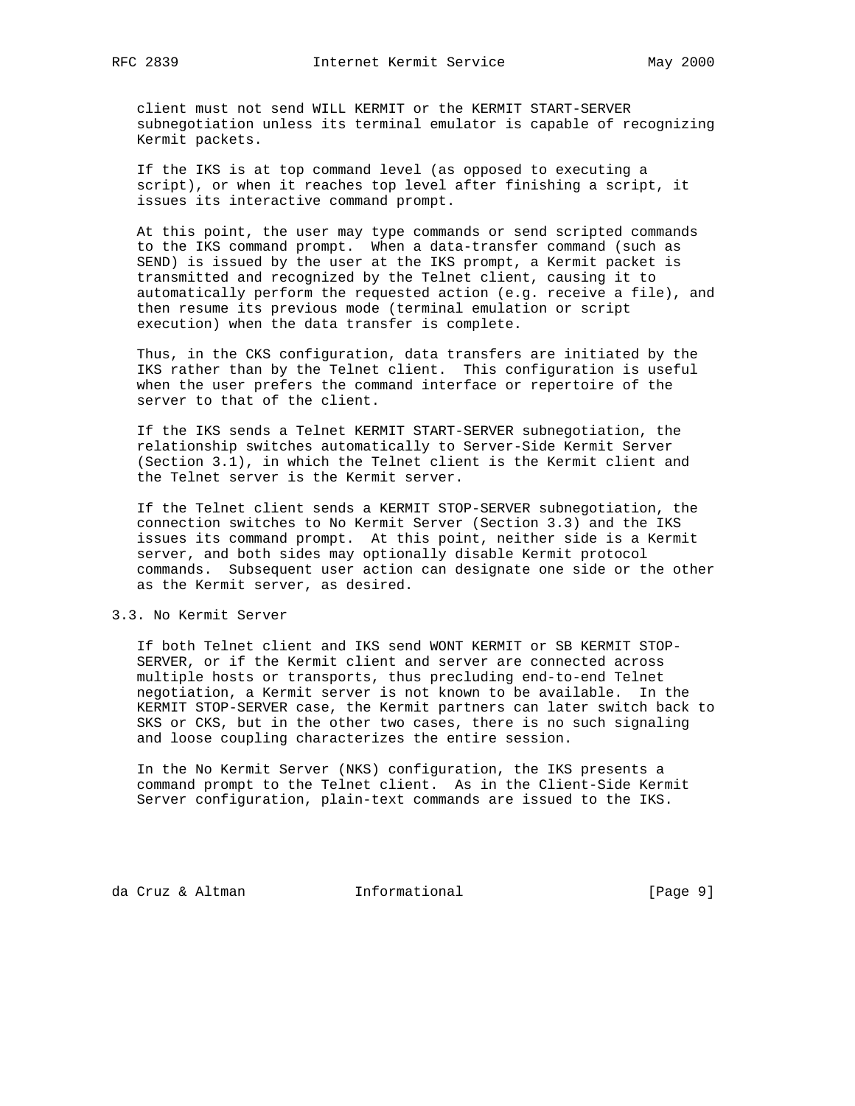client must not send WILL KERMIT or the KERMIT START-SERVER subnegotiation unless its terminal emulator is capable of recognizing Kermit packets.

 If the IKS is at top command level (as opposed to executing a script), or when it reaches top level after finishing a script, it issues its interactive command prompt.

 At this point, the user may type commands or send scripted commands to the IKS command prompt. When a data-transfer command (such as SEND) is issued by the user at the IKS prompt, a Kermit packet is transmitted and recognized by the Telnet client, causing it to automatically perform the requested action (e.g. receive a file), and then resume its previous mode (terminal emulation or script execution) when the data transfer is complete.

 Thus, in the CKS configuration, data transfers are initiated by the IKS rather than by the Telnet client. This configuration is useful when the user prefers the command interface or repertoire of the server to that of the client.

 If the IKS sends a Telnet KERMIT START-SERVER subnegotiation, the relationship switches automatically to Server-Side Kermit Server (Section 3.1), in which the Telnet client is the Kermit client and the Telnet server is the Kermit server.

 If the Telnet client sends a KERMIT STOP-SERVER subnegotiation, the connection switches to No Kermit Server (Section 3.3) and the IKS issues its command prompt. At this point, neither side is a Kermit server, and both sides may optionally disable Kermit protocol commands. Subsequent user action can designate one side or the other as the Kermit server, as desired.

## 3.3. No Kermit Server

 If both Telnet client and IKS send WONT KERMIT or SB KERMIT STOP- SERVER, or if the Kermit client and server are connected across multiple hosts or transports, thus precluding end-to-end Telnet negotiation, a Kermit server is not known to be available. In the KERMIT STOP-SERVER case, the Kermit partners can later switch back to SKS or CKS, but in the other two cases, there is no such signaling and loose coupling characterizes the entire session.

 In the No Kermit Server (NKS) configuration, the IKS presents a command prompt to the Telnet client. As in the Client-Side Kermit Server configuration, plain-text commands are issued to the IKS.

da Cruz & Altman (Page 9)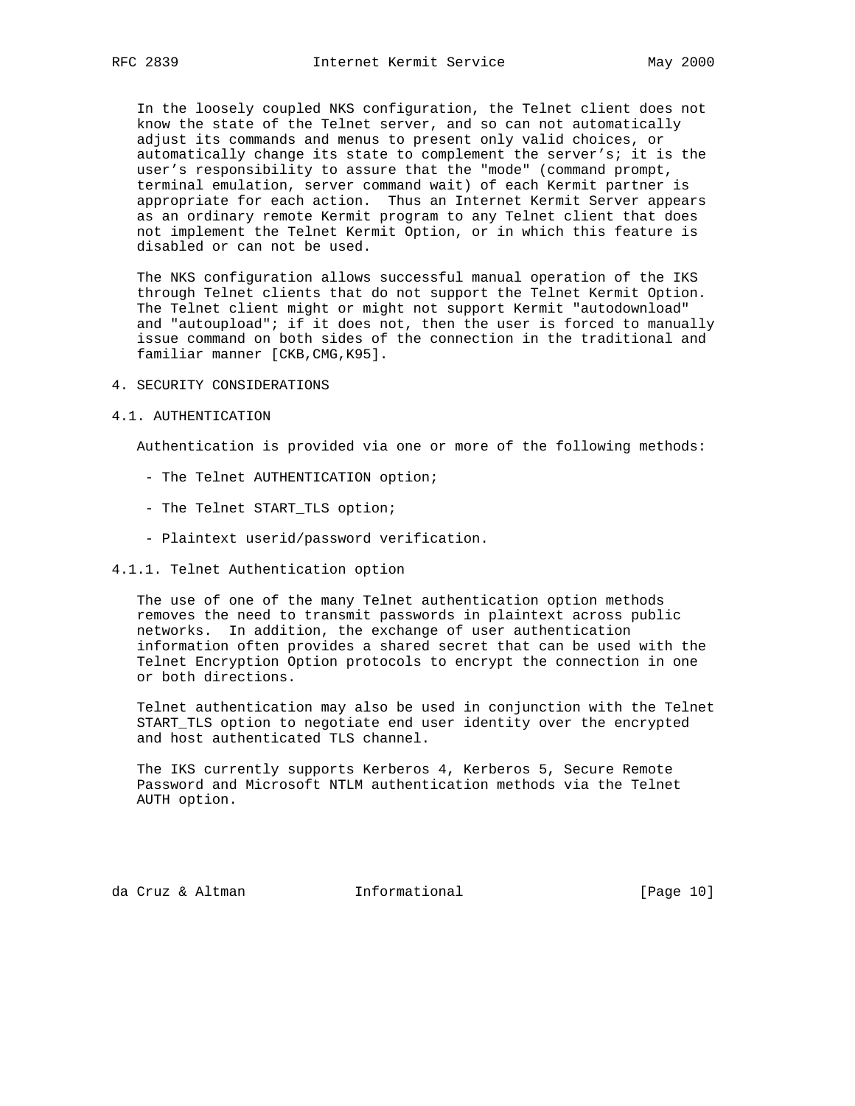In the loosely coupled NKS configuration, the Telnet client does not know the state of the Telnet server, and so can not automatically adjust its commands and menus to present only valid choices, or automatically change its state to complement the server's; it is the user's responsibility to assure that the "mode" (command prompt, terminal emulation, server command wait) of each Kermit partner is appropriate for each action. Thus an Internet Kermit Server appears as an ordinary remote Kermit program to any Telnet client that does not implement the Telnet Kermit Option, or in which this feature is disabled or can not be used.

 The NKS configuration allows successful manual operation of the IKS through Telnet clients that do not support the Telnet Kermit Option. The Telnet client might or might not support Kermit "autodownload" and "autoupload"; if it does not, then the user is forced to manually issue command on both sides of the connection in the traditional and familiar manner [CKB,CMG,K95].

### 4. SECURITY CONSIDERATIONS

#### 4.1. AUTHENTICATION

Authentication is provided via one or more of the following methods:

- The Telnet AUTHENTICATION option;
- The Telnet START\_TLS option;
- Plaintext userid/password verification.

## 4.1.1. Telnet Authentication option

 The use of one of the many Telnet authentication option methods removes the need to transmit passwords in plaintext across public networks. In addition, the exchange of user authentication information often provides a shared secret that can be used with the Telnet Encryption Option protocols to encrypt the connection in one or both directions.

 Telnet authentication may also be used in conjunction with the Telnet START\_TLS option to negotiate end user identity over the encrypted and host authenticated TLS channel.

 The IKS currently supports Kerberos 4, Kerberos 5, Secure Remote Password and Microsoft NTLM authentication methods via the Telnet AUTH option.

da Cruz & Altman Informational [Page 10]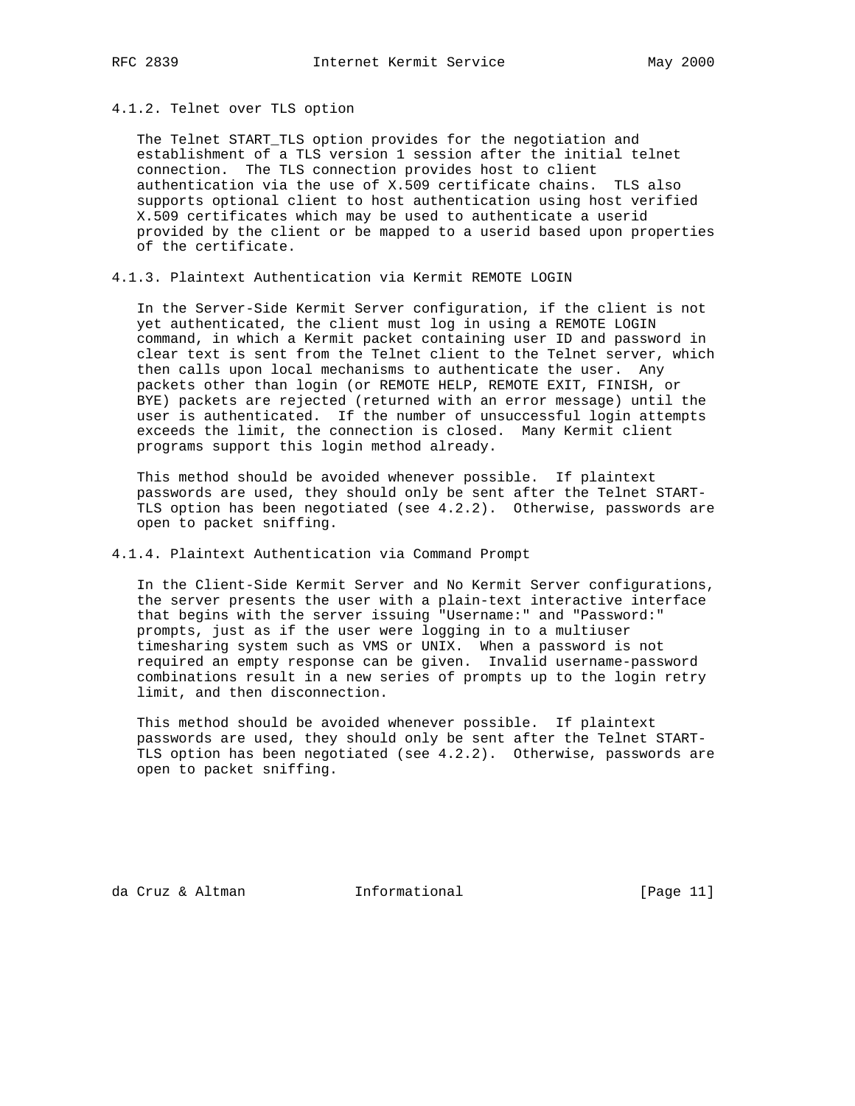#### 4.1.2. Telnet over TLS option

 The Telnet START\_TLS option provides for the negotiation and establishment of a TLS version 1 session after the initial telnet connection. The TLS connection provides host to client authentication via the use of X.509 certificate chains. TLS also supports optional client to host authentication using host verified X.509 certificates which may be used to authenticate a userid provided by the client or be mapped to a userid based upon properties of the certificate.

4.1.3. Plaintext Authentication via Kermit REMOTE LOGIN

 In the Server-Side Kermit Server configuration, if the client is not yet authenticated, the client must log in using a REMOTE LOGIN command, in which a Kermit packet containing user ID and password in clear text is sent from the Telnet client to the Telnet server, which then calls upon local mechanisms to authenticate the user. Any packets other than login (or REMOTE HELP, REMOTE EXIT, FINISH, or BYE) packets are rejected (returned with an error message) until the user is authenticated. If the number of unsuccessful login attempts exceeds the limit, the connection is closed. Many Kermit client programs support this login method already.

 This method should be avoided whenever possible. If plaintext passwords are used, they should only be sent after the Telnet START- TLS option has been negotiated (see 4.2.2). Otherwise, passwords are open to packet sniffing.

4.1.4. Plaintext Authentication via Command Prompt

 In the Client-Side Kermit Server and No Kermit Server configurations, the server presents the user with a plain-text interactive interface that begins with the server issuing "Username:" and "Password:" prompts, just as if the user were logging in to a multiuser timesharing system such as VMS or UNIX. When a password is not required an empty response can be given. Invalid username-password combinations result in a new series of prompts up to the login retry limit, and then disconnection.

 This method should be avoided whenever possible. If plaintext passwords are used, they should only be sent after the Telnet START- TLS option has been negotiated (see 4.2.2). Otherwise, passwords are open to packet sniffing.

da Cruz & Altman Informational [Page 11]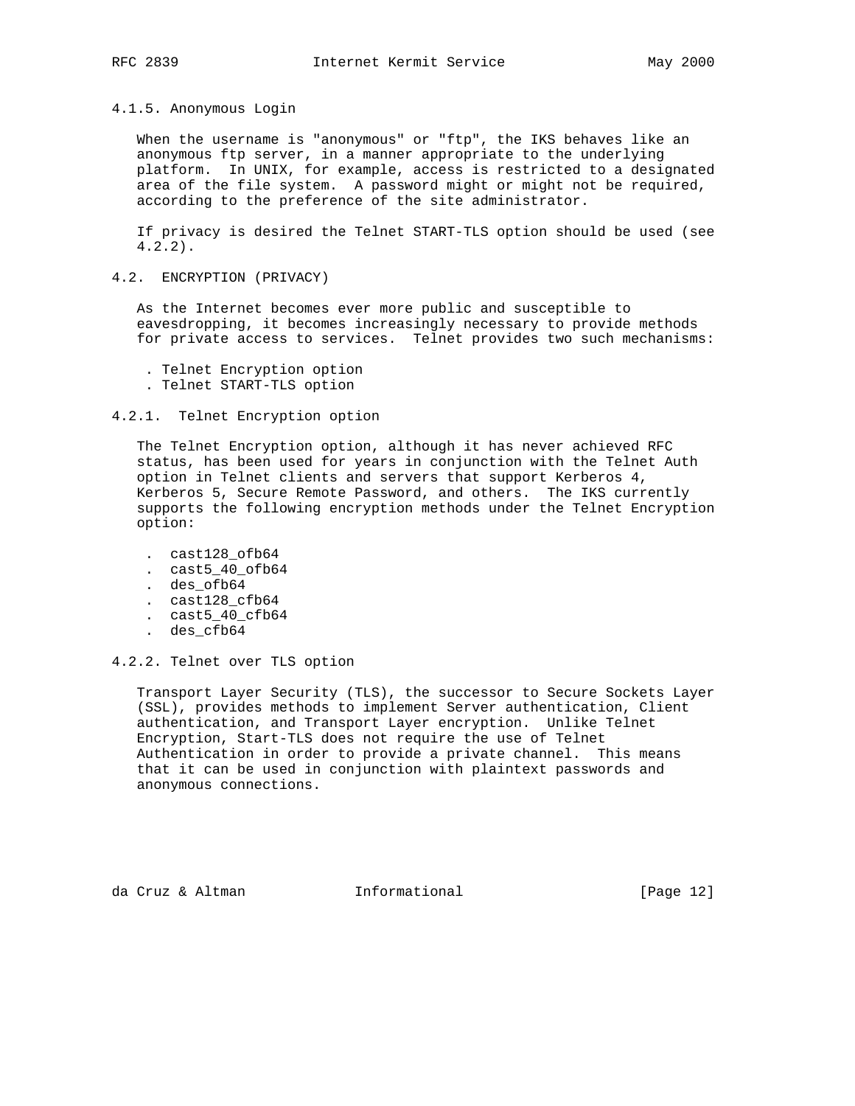## 4.1.5. Anonymous Login

 When the username is "anonymous" or "ftp", the IKS behaves like an anonymous ftp server, in a manner appropriate to the underlying platform. In UNIX, for example, access is restricted to a designated area of the file system. A password might or might not be required, according to the preference of the site administrator.

 If privacy is desired the Telnet START-TLS option should be used (see 4.2.2).

## 4.2. ENCRYPTION (PRIVACY)

 As the Internet becomes ever more public and susceptible to eavesdropping, it becomes increasingly necessary to provide methods for private access to services. Telnet provides two such mechanisms:

. Telnet Encryption option

. Telnet START-TLS option

#### 4.2.1. Telnet Encryption option

 The Telnet Encryption option, although it has never achieved RFC status, has been used for years in conjunction with the Telnet Auth option in Telnet clients and servers that support Kerberos 4, Kerberos 5, Secure Remote Password, and others. The IKS currently supports the following encryption methods under the Telnet Encryption option:

- . cast128\_ofb64
- . cast5\_40\_ofb64
- . des\_ofb64
- . cast128\_cfb64
- . cast5\_40\_cfb64
- . des\_cfb64

4.2.2. Telnet over TLS option

 Transport Layer Security (TLS), the successor to Secure Sockets Layer (SSL), provides methods to implement Server authentication, Client authentication, and Transport Layer encryption. Unlike Telnet Encryption, Start-TLS does not require the use of Telnet Authentication in order to provide a private channel. This means that it can be used in conjunction with plaintext passwords and anonymous connections.

da Cruz & Altman **Informational** [Page 12]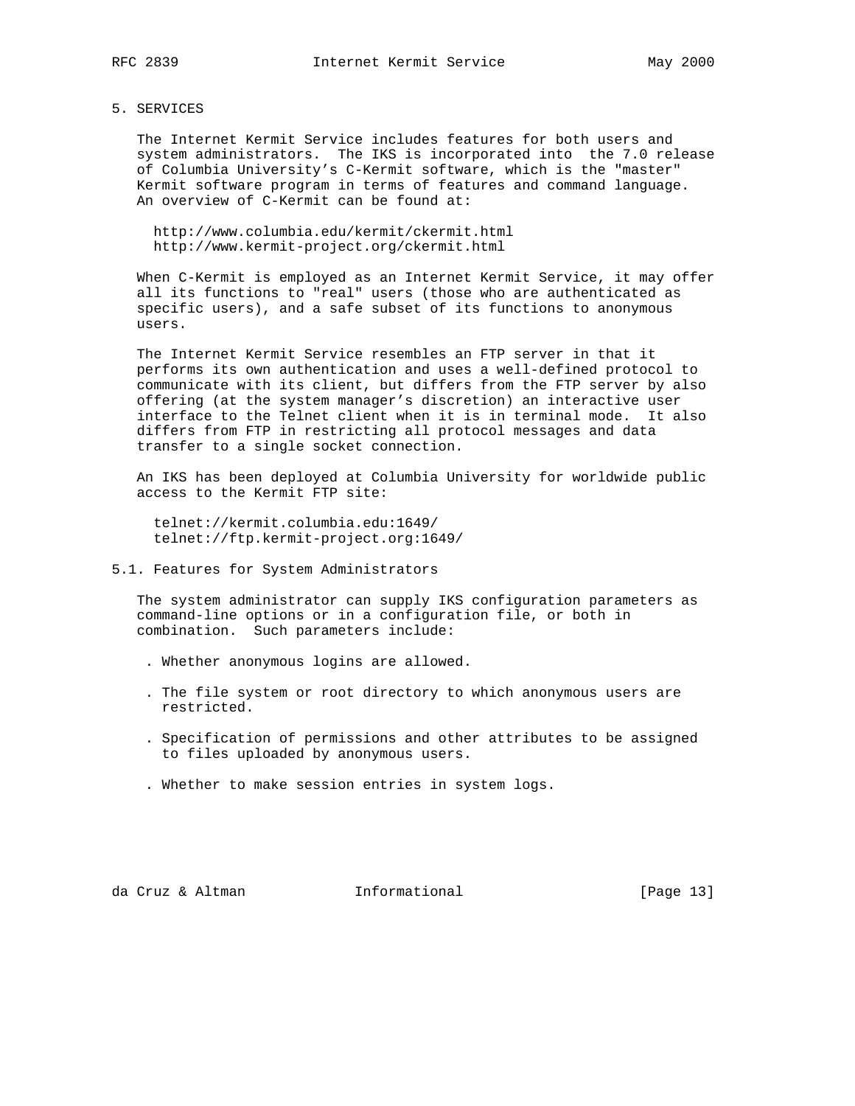# 5. SERVICES

 The Internet Kermit Service includes features for both users and system administrators. The IKS is incorporated into the 7.0 release of Columbia University's C-Kermit software, which is the "master" Kermit software program in terms of features and command language. An overview of C-Kermit can be found at:

 http://www.columbia.edu/kermit/ckermit.html http://www.kermit-project.org/ckermit.html

 When C-Kermit is employed as an Internet Kermit Service, it may offer all its functions to "real" users (those who are authenticated as specific users), and a safe subset of its functions to anonymous users.

 The Internet Kermit Service resembles an FTP server in that it performs its own authentication and uses a well-defined protocol to communicate with its client, but differs from the FTP server by also offering (at the system manager's discretion) an interactive user interface to the Telnet client when it is in terminal mode. It also differs from FTP in restricting all protocol messages and data transfer to a single socket connection.

 An IKS has been deployed at Columbia University for worldwide public access to the Kermit FTP site:

 telnet://kermit.columbia.edu:1649/ telnet://ftp.kermit-project.org:1649/

5.1. Features for System Administrators

 The system administrator can supply IKS configuration parameters as command-line options or in a configuration file, or both in combination. Such parameters include:

- . Whether anonymous logins are allowed.
- . The file system or root directory to which anonymous users are restricted.
- . Specification of permissions and other attributes to be assigned to files uploaded by anonymous users.
- . Whether to make session entries in system logs.

da Cruz & Altman **Informational** [Page 13]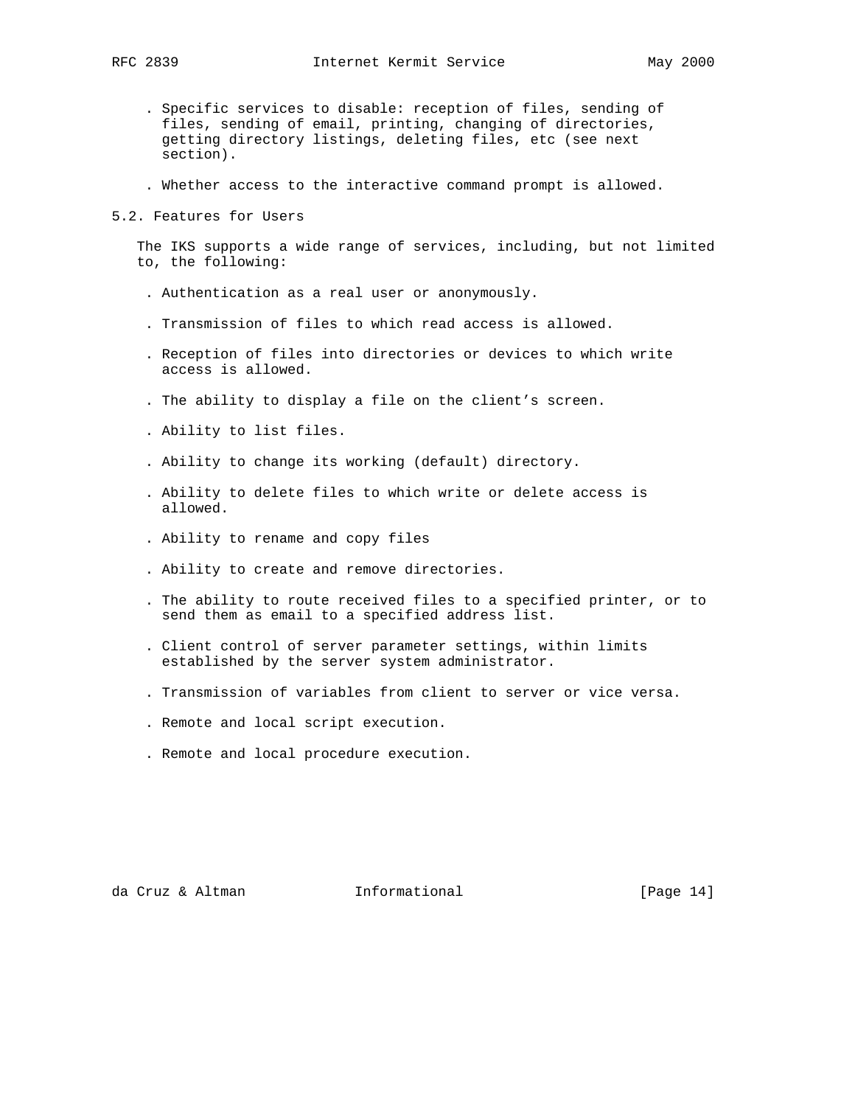- . Specific services to disable: reception of files, sending of files, sending of email, printing, changing of directories, getting directory listings, deleting files, etc (see next section).
- . Whether access to the interactive command prompt is allowed.
- 5.2. Features for Users

 The IKS supports a wide range of services, including, but not limited to, the following:

- . Authentication as a real user or anonymously.
- . Transmission of files to which read access is allowed.
- . Reception of files into directories or devices to which write access is allowed.
- . The ability to display a file on the client's screen.
- . Ability to list files.
- . Ability to change its working (default) directory.
- . Ability to delete files to which write or delete access is allowed.
- . Ability to rename and copy files
- . Ability to create and remove directories.
- . The ability to route received files to a specified printer, or to send them as email to a specified address list.
- . Client control of server parameter settings, within limits established by the server system administrator.
- . Transmission of variables from client to server or vice versa.
- . Remote and local script execution.
- . Remote and local procedure execution.

da Cruz & Altman Informational [Page 14]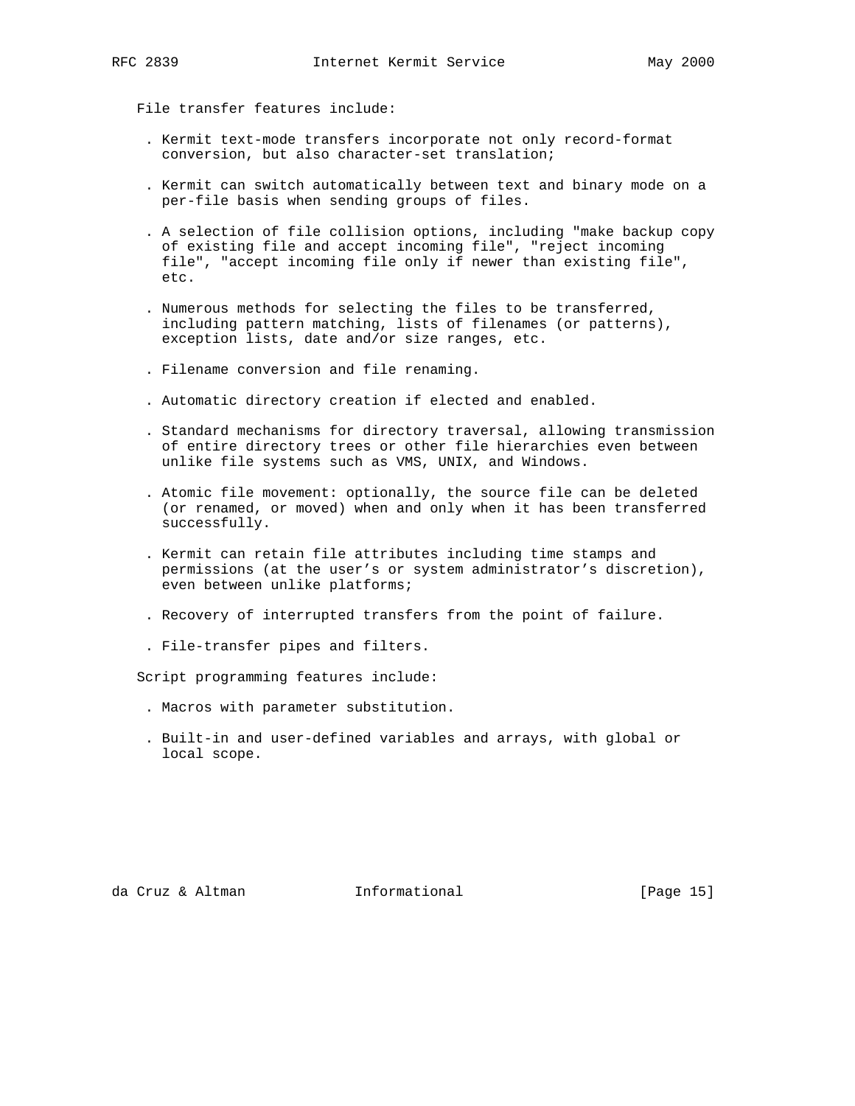File transfer features include:

- . Kermit text-mode transfers incorporate not only record-format conversion, but also character-set translation;
- . Kermit can switch automatically between text and binary mode on a per-file basis when sending groups of files.
- . A selection of file collision options, including "make backup copy of existing file and accept incoming file", "reject incoming file", "accept incoming file only if newer than existing file", etc.
- . Numerous methods for selecting the files to be transferred, including pattern matching, lists of filenames (or patterns), exception lists, date and/or size ranges, etc.
- . Filename conversion and file renaming.
- . Automatic directory creation if elected and enabled.
- . Standard mechanisms for directory traversal, allowing transmission of entire directory trees or other file hierarchies even between unlike file systems such as VMS, UNIX, and Windows.
- . Atomic file movement: optionally, the source file can be deleted (or renamed, or moved) when and only when it has been transferred successfully.
- . Kermit can retain file attributes including time stamps and permissions (at the user's or system administrator's discretion), even between unlike platforms;
- . Recovery of interrupted transfers from the point of failure.
- . File-transfer pipes and filters.

Script programming features include:

- . Macros with parameter substitution.
- . Built-in and user-defined variables and arrays, with global or local scope.

da Cruz & Altman Informational [Page 15]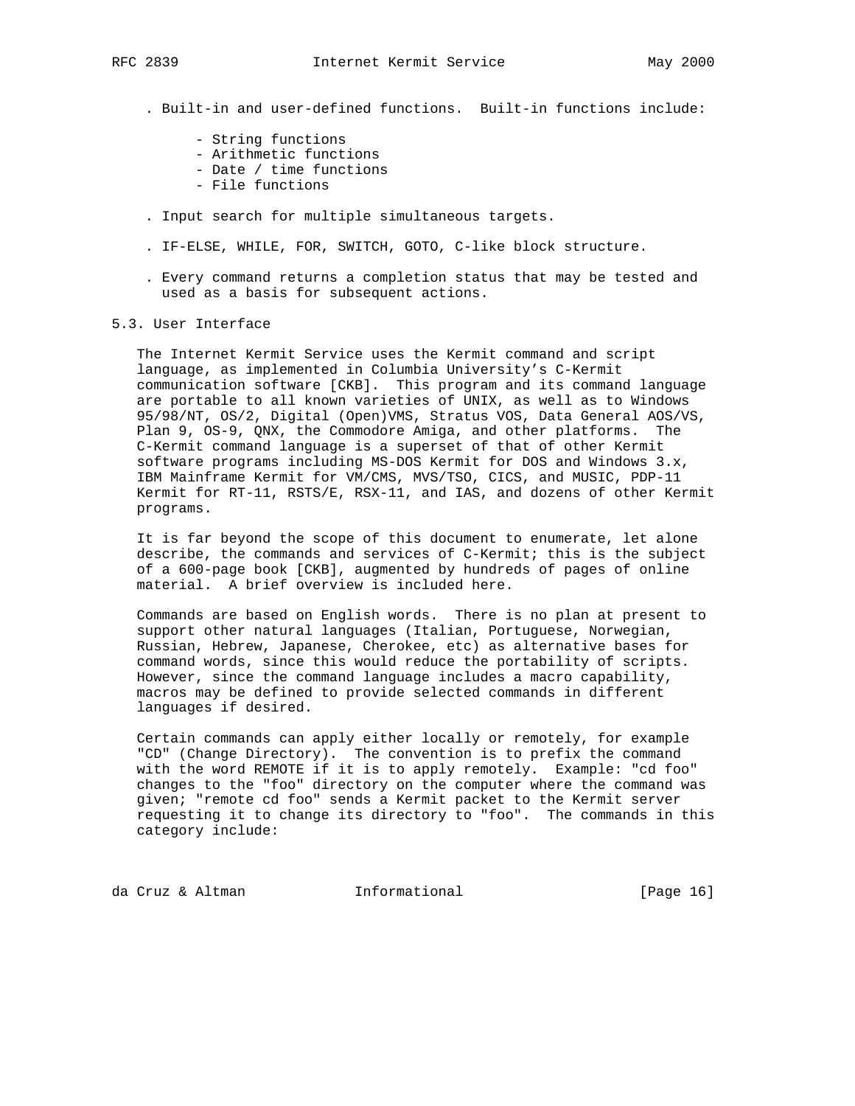- . Built-in and user-defined functions. Built-in functions include:
	- String functions
	- Arithmetic functions
	- Date / time functions
	- File functions
- . Input search for multiple simultaneous targets.
- . IF-ELSE, WHILE, FOR, SWITCH, GOTO, C-like block structure.
- . Every command returns a completion status that may be tested and used as a basis for subsequent actions.

## 5.3. User Interface

 The Internet Kermit Service uses the Kermit command and script language, as implemented in Columbia University's C-Kermit communication software [CKB]. This program and its command language are portable to all known varieties of UNIX, as well as to Windows 95/98/NT, OS/2, Digital (Open)VMS, Stratus VOS, Data General AOS/VS, Plan 9, OS-9, QNX, the Commodore Amiga, and other platforms. The C-Kermit command language is a superset of that of other Kermit software programs including MS-DOS Kermit for DOS and Windows 3.x, IBM Mainframe Kermit for VM/CMS, MVS/TSO, CICS, and MUSIC, PDP-11 Kermit for RT-11, RSTS/E, RSX-11, and IAS, and dozens of other Kermit programs.

 It is far beyond the scope of this document to enumerate, let alone describe, the commands and services of C-Kermit; this is the subject of a 600-page book [CKB], augmented by hundreds of pages of online material. A brief overview is included here.

 Commands are based on English words. There is no plan at present to support other natural languages (Italian, Portuguese, Norwegian, Russian, Hebrew, Japanese, Cherokee, etc) as alternative bases for command words, since this would reduce the portability of scripts. However, since the command language includes a macro capability, macros may be defined to provide selected commands in different languages if desired.

 Certain commands can apply either locally or remotely, for example "CD" (Change Directory). The convention is to prefix the command with the word REMOTE if it is to apply remotely. Example: "cd foo" changes to the "foo" directory on the computer where the command was given; "remote cd foo" sends a Kermit packet to the Kermit server requesting it to change its directory to "foo". The commands in this category include:

da Cruz & Altman 1nformational (Page 16)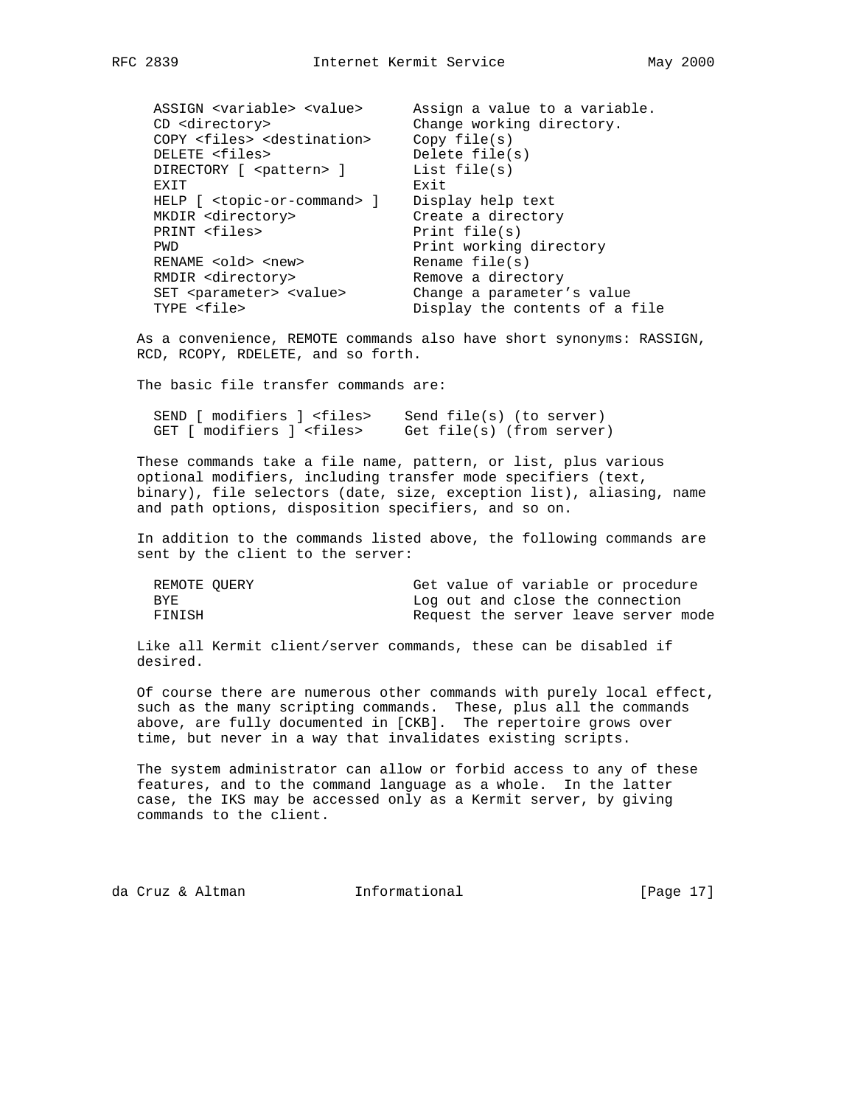| ASSIGN <variable> <value></value></variable>     | Assign a value to a variable.  |
|--------------------------------------------------|--------------------------------|
| CD <directory></directory>                       | Change working directory.      |
| COPY <files> <destination></destination></files> | Copy file(s)                   |
| DELETE <files></files>                           | Delete $file(s)$               |
| DIRECTORY [ <pattern> ]</pattern>                | List $file(s)$                 |
| EXIT                                             | Exit                           |
| HELP [ <topic-or-command> ]</topic-or-command>   | Display help text              |
| MKDIR <directory></directory>                    | Create a directory             |
| PRINT <files></files>                            | Print $file(s)$                |
| PWD                                              | Print working directory        |
| RENAME <old> <new></new></old>                   | Rename $file(s)$               |
| RMDIR <directory></directory>                    | Remove a directory             |
| SET <parameter> <value></value></parameter>      | Change a parameter's value     |
| TYPE <file></file>                               | Display the contents of a file |

 As a convenience, REMOTE commands also have short synonyms: RASSIGN, RCD, RCOPY, RDELETE, and so forth.

The basic file transfer commands are:

| SEND [ modifiers ] <files></files> | Send file(s) (to server)  |
|------------------------------------|---------------------------|
| GET [ modifiers ] <files></files>  | Get file(s) (from server) |

 These commands take a file name, pattern, or list, plus various optional modifiers, including transfer mode specifiers (text, binary), file selectors (date, size, exception list), aliasing, name and path options, disposition specifiers, and so on.

 In addition to the commands listed above, the following commands are sent by the client to the server:

| REMOTE OUERY |  |  |  | Get value of variable or procedure   |  |
|--------------|--|--|--|--------------------------------------|--|
| BYE.         |  |  |  | Log out and close the connection     |  |
| FINISH       |  |  |  | Request the server leave server mode |  |

 Like all Kermit client/server commands, these can be disabled if desired.

 Of course there are numerous other commands with purely local effect, such as the many scripting commands. These, plus all the commands above, are fully documented in [CKB]. The repertoire grows over time, but never in a way that invalidates existing scripts.

 The system administrator can allow or forbid access to any of these features, and to the command language as a whole. In the latter case, the IKS may be accessed only as a Kermit server, by giving commands to the client.

da Cruz & Altman Informational [Page 17]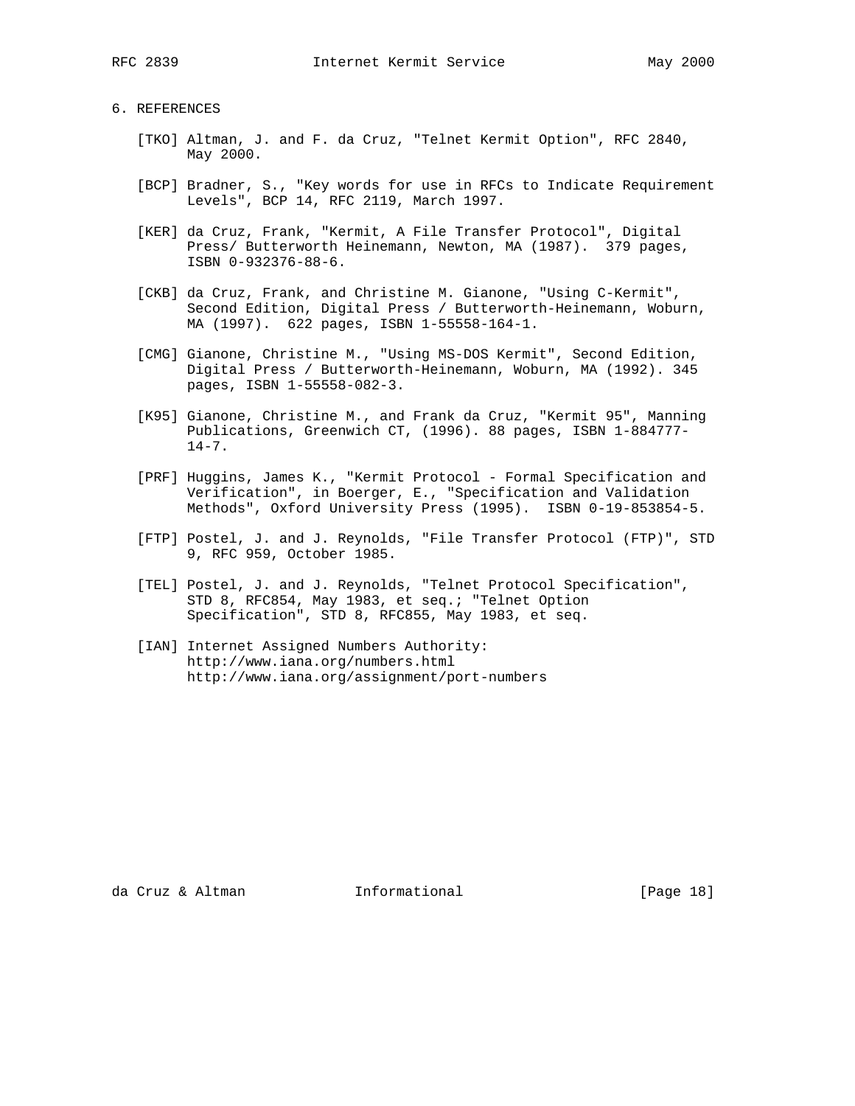# 6. REFERENCES

- [TKO] Altman, J. and F. da Cruz, "Telnet Kermit Option", RFC 2840, May 2000.
- [BCP] Bradner, S., "Key words for use in RFCs to Indicate Requirement Levels", BCP 14, RFC 2119, March 1997.
- [KER] da Cruz, Frank, "Kermit, A File Transfer Protocol", Digital Press/ Butterworth Heinemann, Newton, MA (1987). 379 pages, ISBN 0-932376-88-6.
- [CKB] da Cruz, Frank, and Christine M. Gianone, "Using C-Kermit", Second Edition, Digital Press / Butterworth-Heinemann, Woburn, MA (1997). 622 pages, ISBN 1-55558-164-1.
- [CMG] Gianone, Christine M., "Using MS-DOS Kermit", Second Edition, Digital Press / Butterworth-Heinemann, Woburn, MA (1992). 345 pages, ISBN 1-55558-082-3.
- [K95] Gianone, Christine M., and Frank da Cruz, "Kermit 95", Manning Publications, Greenwich CT, (1996). 88 pages, ISBN 1-884777-  $14-7$ .
- [PRF] Huggins, James K., "Kermit Protocol Formal Specification and Verification", in Boerger, E., "Specification and Validation Methods", Oxford University Press (1995). ISBN 0-19-853854-5.
- [FTP] Postel, J. and J. Reynolds, "File Transfer Protocol (FTP)", STD 9, RFC 959, October 1985.
- [TEL] Postel, J. and J. Reynolds, "Telnet Protocol Specification", STD 8, RFC854, May 1983, et seq.; "Telnet Option Specification", STD 8, RFC855, May 1983, et seq.
- [IAN] Internet Assigned Numbers Authority: http://www.iana.org/numbers.html http://www.iana.org/assignment/port-numbers

da Cruz & Altman Informational [Page 18]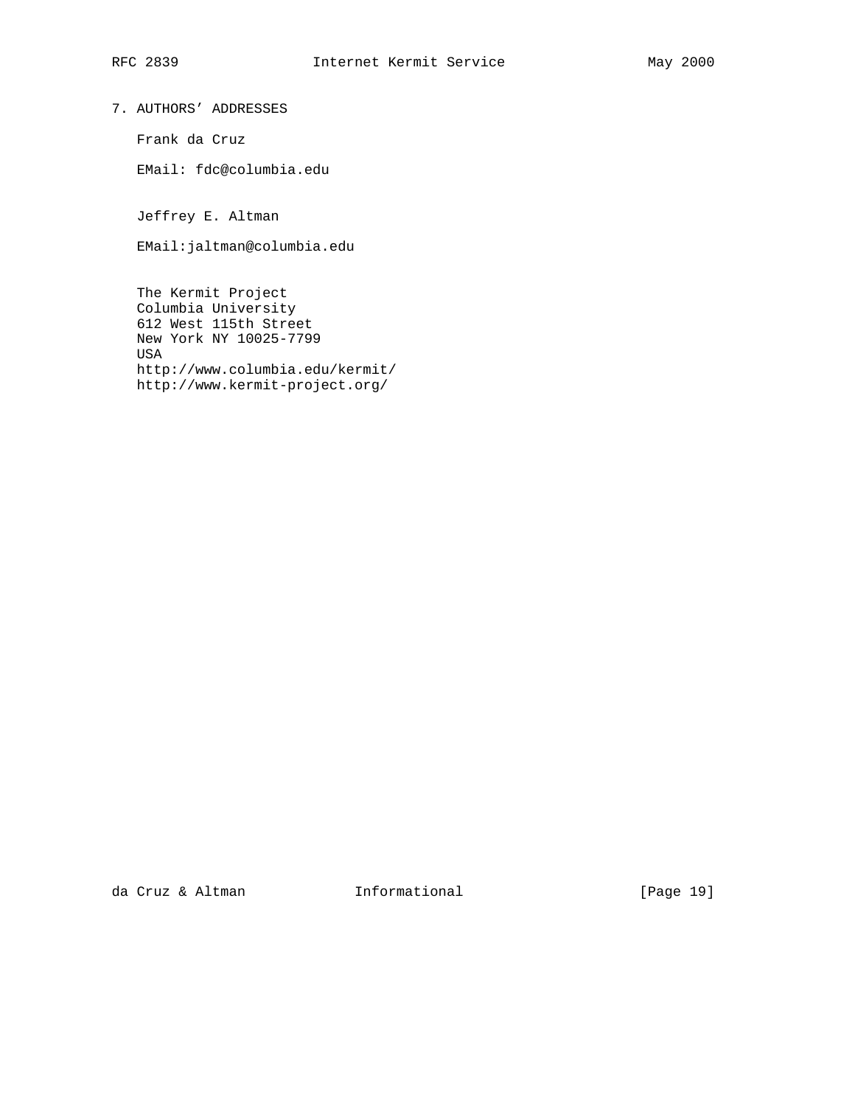7. AUTHORS' ADDRESSES

Frank da Cruz

EMail: fdc@columbia.edu

Jeffrey E. Altman

EMail:jaltman@columbia.edu

 The Kermit Project Columbia University 612 West 115th Street New York NY 10025-7799 USA http://www.columbia.edu/kermit/ http://www.kermit-project.org/